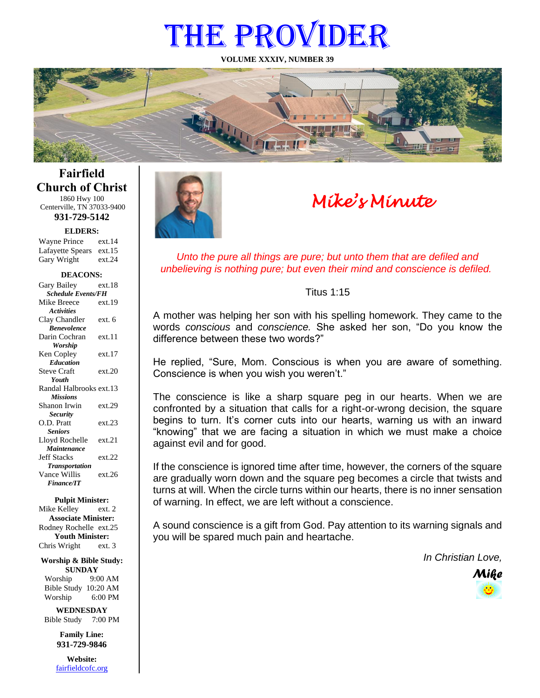# THE PROVIDER

**VOLUME XXXIV, NUMBER 39**



**Fairfield Church of Christ** 1860 Hwy 100

Centerville, TN 37033-9400 **931-729-5142**

**ELDERS:**

Gary Wright ext.24 Wayne Prince ext.14 Lafayette Spears ext.15

#### **DEACONS:**

| Gary Bailey               | ext.18 |  |
|---------------------------|--------|--|
| <b>Schedule Events/FH</b> |        |  |
| Mike Breece               | ext.19 |  |
| <b>Activities</b>         |        |  |
| Clay Chandler             | ext. 6 |  |
| <b>Benevolence</b>        |        |  |
| Darin Cochran             | ext.11 |  |
| <b>Worship</b>            |        |  |
| Ken Copley                | ext.17 |  |
| <b>Education</b>          |        |  |
| <b>Steve Craft</b>        | ext.20 |  |
| Youth                     |        |  |
| Randal Halbrooks ext.13   |        |  |
| <b>Missions</b>           |        |  |
| Shanon Irwin              | ext.29 |  |
| <b>Security</b>           |        |  |
| O.D. Pratt                | ext.23 |  |
| <b>Seniors</b>            |        |  |
| Lloyd Rochelle            | ext.21 |  |
| Maintenance               |        |  |
| <b>Jeff Stacks</b>        | ext.22 |  |
| <b>Transportation</b>     |        |  |
| Vance Willis              | ext.26 |  |
| <b>Finance/IT</b>         |        |  |

**Pulpit Minister:**

Mike Kelley ext. 2 **Associate Minister:** Rodney Rochelle ext.25 **Youth Minister:** Chris Wright ext. 3

**Worship & Bible Study: SUNDAY** Worship 9:00 AM

Bible Study 10:20 AM Worship 6:00 PM

**WEDNESDAY** Bible Study 7:00 PM

> **Family Line: 931-729-9846**

**Website:** [fairfieldcofc.org](file:///C:/Users/RickJoyce/Documents/Fairfield%20Website%20Files/fairfieldchurchofchrist.org)



# *Mike's Minute*

*Unto the pure all things are pure; but unto them that are defiled and unbelieving is nothing pure; but even their mind and conscience is defiled.*

#### Titus 1:15

A mother was helping her son with his spelling homework. They came to the words *conscious* and *conscience.* She asked her son, "Do you know the difference between these two words?"

He replied, "Sure, Mom. Conscious is when you are aware of something. Conscience is when you wish you weren't."

The conscience is like a sharp square peg in our hearts. When we are confronted by a situation that calls for a right-or-wrong decision, the square begins to turn. It's corner cuts into our hearts, warning us with an inward "knowing" that we are facing a situation in which we must make a choice against evil and for good.

If the conscience is ignored time after time, however, the corners of the square are gradually worn down and the square peg becomes a circle that twists and turns at will. When the circle turns within our hearts, there is no inner sensation of warning. In effect, we are left without a conscience.

A sound conscience is a gift from God. Pay attention to its warning signals and you will be spared much pain and heartache.

*In Christian Love,*

*Mike*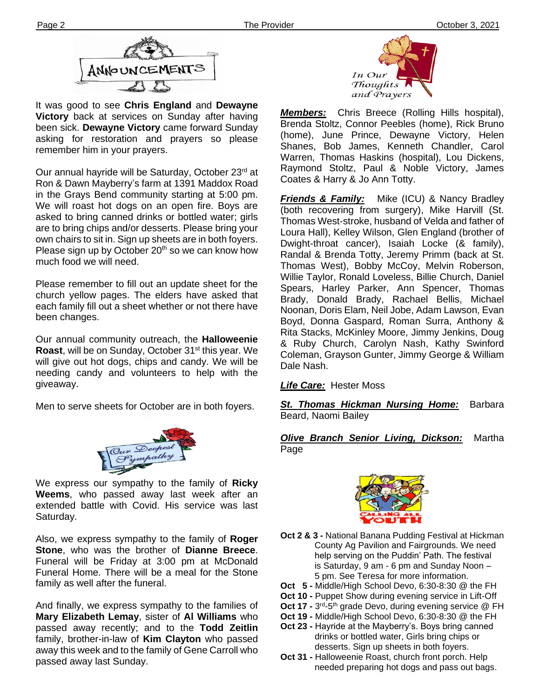

It was good to see **Chris England** and **Dewayne Victory** back at services on Sunday after having been sick. **Dewayne Victory** came forward Sunday asking for restoration and prayers so please remember him in your prayers.

**Ther** Ron & Dawn Mayberry's farm at 1391 Maddox Road Our annual hayride will be Saturday, October 23<sup>rd</sup> at in the Grays Bend community starting at 5:00 pm. We will roast hot dogs on an open fire. Boys are asked to bring canned drinks or bottled water; girls are to bring chips and/or desserts. Please bring your own chairs to sit in. Sign up sheets are in both foyers. Please sign up by October  $20<sup>th</sup>$  so we can know how much food we will need.

Please remember to fill out an update sheet for the church yellow pages. The elders have asked that each family fill out a sheet whether or not there have been changes.

Our annual community outreach, the **Halloweenie**  Roast, will be on Sunday, October 31<sup>st</sup> this year. We will give out hot dogs, chips and candy. We will be needing candy and volunteers to help with the giveaway.

Men to serve sheets for October are in both foyers.



extended battle with Covid. His service was last We express our sympathy to the family of **Ricky Weems**, who passed away last week after an Saturday.

Also, we express sympathy to the family of **Roger Stone**, who was the brother of **Dianne Breece**. Funeral will be Friday at 3:00 pm at McDonald Funeral Home. There will be a meal for the Stone family as well after the funeral.

And finally, we express sympathy to the families of **Mary Elizabeth Lemay**, sister of **Al Williams** who passed away recently; and to the **Todd Zeitlin** family, brother-in-law of **Kim Clayton** who passed away this week and to the family of Gene Carroll who passed away last Sunday.



*Members:* Chris Breece (Rolling Hills hospital), Brenda Stoltz, Connor Peebles (home), Rick Bruno (home), June Prince, Dewayne Victory, Helen Shanes, Bob James, Kenneth Chandler, Carol Warren, Thomas Haskins (hospital), Lou Dickens, Raymond Stoltz, Paul & Noble Victory, James Coates & Harry & Jo Ann Totty.

*Friends & Family:* Mike (ICU) & Nancy Bradley (both recovering from surgery), Mike Harvill (St. Thomas West-stroke, husband of Velda and father of Loura Hall), Kelley Wilson, Glen England (brother of Dwight-throat cancer), Isaiah Locke (& family), Randal & Brenda Totty, Jeremy Primm (back at St. Thomas West), Bobby McCoy, Melvin Roberson, Willie Taylor, Ronald Loveless, Billie Church, Daniel Spears, Harley Parker, Ann Spencer, Thomas Brady, Donald Brady, Rachael Bellis, Michael Noonan, Doris Elam, Neil Jobe, Adam Lawson, Evan Boyd, Donna Gaspard, Roman Surra, Anthony & Rita Stacks, McKinley Moore, Jimmy Jenkins, Doug & Ruby Church, Carolyn Nash, Kathy Swinford Coleman, Grayson Gunter, Jimmy George & William Dale Nash.

#### *Life Care:* Hester Moss

*St. Thomas Hickman Nursing Home:* Barbara Beard, Naomi Bailey

#### *Olive Branch Senior Living, Dickson:* Martha Page



- **Oct 2 & 3 -** National Banana Pudding Festival at Hickman County Ag Pavilion and Fairgrounds. We need help serving on the Puddin' Path. The festival is Saturday, 9 am - 6 pm and Sunday Noon – 5 pm. See Teresa for more information.
- **Oct 5 -** Middle/High School Devo, 6:30-8:30 @ the FH
- **Oct 10 -** Puppet Show during evening service in Lift-Off
- **Oct 17 -** 3<sup>rd</sup>-5<sup>th</sup> grade Devo, during evening service @ FH
- **Oct 19 -** Middle/High School Devo, 6:30-8:30 @ the FH
- **Oct 23 -** Hayride at the Mayberry's. Boys bring canned drinks or bottled water, Girls bring chips or desserts. Sign up sheets in both foyers.
- **Oct 31 -** Halloweenie Roast, church front porch. Help needed preparing hot dogs and pass out bags.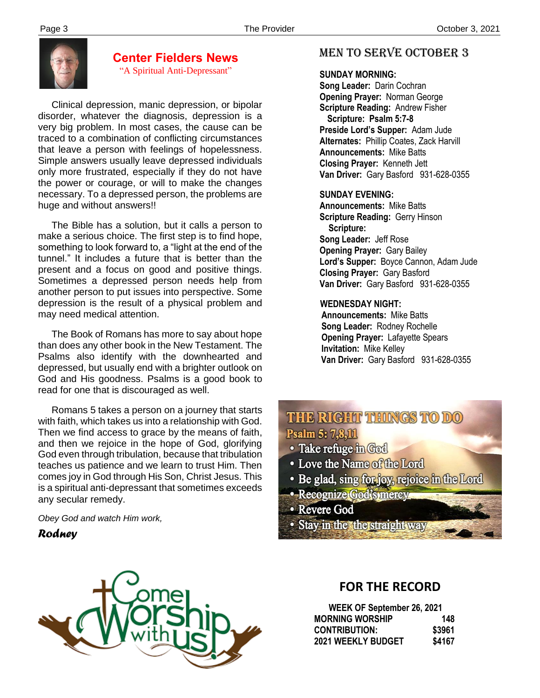

# **Center Fielders News**

"A Spiritual Anti-Depressant"

 Clinical depression, manic depression, or bipolar disorder, whatever the diagnosis, depression is a very big problem. In most cases, the cause can be traced to a combination of conflicting circumstances that leave a person with feelings of hopelessness. Simple answers usually leave depressed individuals only more frustrated, especially if they do not have the power or courage, or will to make the changes necessary. To a depressed person, the problems are huge and without answers!!

 The Bible has a solution, but it calls a person to make a serious choice. The first step is to find hope, something to look forward to, a "light at the end of the tunnel." It includes a future that is better than the present and a focus on good and positive things. Sometimes a depressed person needs help from another person to put issues into perspective. Some depression is the result of a physical problem and may need medical attention.

 The Book of Romans has more to say about hope than does any other book in the New Testament. The Psalms also identify with the downhearted and depressed, but usually end with a brighter outlook on God and His goodness. Psalms is a good book to read for one that is discouraged as well.

any secular remedy. Romans 5 takes a person on a journey that starts with faith, which takes us into a relationship with God. Then we find access to grace by the means of faith, and then we rejoice in the hope of God, glorifying God even through tribulation, because that tribulation teaches us patience and we learn to trust Him. Then comes joy in God through His Son, Christ Jesus. This is a spiritual anti-depressant that sometimes exceeds

*Obey God and watch Him work,*

*Rodney*



### MEN TO SERVE October 3

#### **SUNDAY MORNING:**

**Song Leader:** Darin Cochran  **Opening Prayer:** Norman George **Scripture Reading:** Andrew Fisher  **Scripture: Psalm 5:7-8 Preside Lord's Supper:** Adam Jude  **Alternates:** Phillip Coates, Zack Harvill  **Announcements:** Mike Batts  **Closing Prayer:** Kenneth Jett **Van Driver:** Gary Basford 931-628-0355

#### **SUNDAY EVENING:**

**Announcements:** Mike Batts **Scripture Reading:** Gerry Hinson  **Scripture: Song Leader:** Jeff Rose **Opening Prayer:** Gary Bailey **Lord's Supper:** Boyce Cannon, Adam Jude **Closing Prayer:** Gary Basford **Van Driver:** Gary Basford 931-628-0355

#### **WEDNESDAY NIGHT:**

**Announcements:** Mike Batts **Song Leader:** Rodney Rochelle **Opening Prayer:** Lafayette Spears **Invitation:** Mike Kelley  **Van Driver:** Gary Basford 931-628-0355

# THE RIGHT THINGS TO DO Psalm 5: 7,8,11

- · Take refuge in God
- Love the Name of the Lord
- Be glad, sing for joy, rejoice in the Lord
- · Recognize God's mercy
- Revere God
- Stay in the the straight way

# **FOR THE RECORD**

| WEEK OF September 26, 2021 |        |
|----------------------------|--------|
| <b>MORNING WORSHIP</b>     | 148    |
| <b>CONTRIBUTION:</b>       | \$3961 |
| <b>2021 WEEKLY BUDGET</b>  | \$4167 |